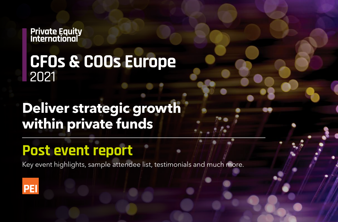**Private Equity<br>International** 

### **CFOs & COOs Europe** 2021

## **Deliver strategic growth within private funds**

### **Post event report**

Key event highlights, sample attendee list, testimonials and much more.

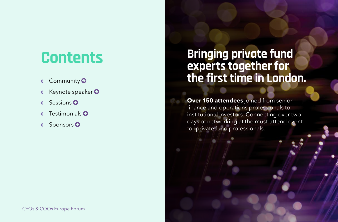## <span id="page-1-0"></span>**Contents**

- » Community
- » Keynote speaker
- » S[essions](#page-4-0)
- » Testimonials
- » [Sponsors](#page-6-0)

### **Bringing private fund experts together for the first time in London.**

**Over 150 attendees** joined from senior finance and operations professionals to institutional investors. Connecting over two days of networking at the must-attend event for private fund professionals.

[CFOs & COOs Europe Forum](http://www.peievents.com/en/event/cfos-coos-europe/)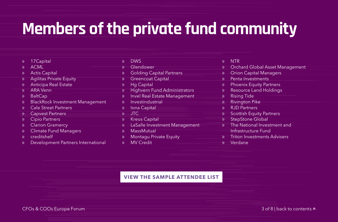# <span id="page-2-0"></span>**Members of the private fund community**

| $\mathcal{Y}$ | 17 Capital                             | $\mathcal{W}$            | <b>DWS</b>                      | $\mathcal{W}$ | <b>NTR</b>                      |
|---------------|----------------------------------------|--------------------------|---------------------------------|---------------|---------------------------------|
| $\mathcal{Y}$ | <b>ACML</b>                            | $\mathcal{V}$            | Glendower                       | $\mathcal{V}$ | Orchard Global Asset Management |
| $\mathcal{Y}$ | <b>Actis Capital</b>                   | $\mathcal{Y}$            | <b>Golding Capital Partners</b> | $\mathcal{V}$ | <b>Orion Capital Managers</b>   |
| $\mathcal{Y}$ | <b>Agilitas Private Equity</b>         | $\mathcal{W}$            | <b>Greencoat Capital</b>        | $\mathcal{Y}$ | Penta Investments               |
| $\mathcal{Y}$ | <b>Anticipa Real Estate</b>            | $\mathcal{Y}$            | <b>Hg Capital</b>               | $\mathcal{Y}$ | <b>Phoenix Equity Partners</b>  |
| $\mathcal{W}$ | <b>ARA Venn</b>                        | $\overline{\mathcal{V}}$ | Highvern Fund Administrators    | $\mathcal{Y}$ | <b>Resource Land Holdings</b>   |
| $\mathcal{Y}$ | <b>BaltCap</b>                         | $\mathcal{Y}$            | Invel Real Estate Management    | $\mathcal{Y}$ | <b>Rising Tide</b>              |
| $\mathcal{Y}$ | <b>BlackRock Investment Management</b> | $\mathcal{W}$            | Investindustrial                | $\mathcal{V}$ | <b>Rivington Pike</b>           |
| $\mathcal{Y}$ | <b>Cale Street Partners</b>            | $\mathcal{Y}$            | Iona Capital                    | $\mathcal{Y}$ | <b>RJD Partners</b>             |
| )             | Capvest Partners                       | )                        | <b>JTC</b>                      | $\mathcal{V}$ | <b>Scottish Equity Partners</b> |
| $\mathcal{Y}$ | <b>Cipio Partners</b>                  | $\mathcal{Y}$            | <b>Kreos Capital</b>            | $\mathcal{V}$ | <b>StepStone Global</b>         |
| $\mathcal{Y}$ | <b>Clarion Gramercy</b>                | )                        | LaSalle Investment Management   | $\mathcal{W}$ | The National Investment and     |
| $\mathcal{Y}$ | <b>Climate Fund Managers</b>           | $\mathcal{W}$            | MassMutual                      |               | Infrastructure Fund             |
| $\mathcal{Y}$ | creditshelf                            | $\mathcal{Y}$            | <b>Montagu Private Equity</b>   | $\mathcal{Y}$ | Triton Investments Advisers     |
| $\mathcal{Y}$ | Development Partners International     | $\mathcal{Y}$            | <b>MV Credit</b>                | $\mathcal{V}$ | Verdane                         |
|               |                                        |                          |                                 |               |                                 |

#### **[VIEW THE SAMPLE ATTENDEE LIST](https://www.peievents.com/en/wp-content/uploads/2021/02/CFO-COO-Europe-Forum-2021-Sample-Attendee-List-05.11.21.pdf)**

[CFOs & COOs Europe Forum](http://www.peievents.com/en/event/cfos-coos-europe/) and the contents  $\sim$  3 of 8 | [back to contents](#page-1-0)  $\sim$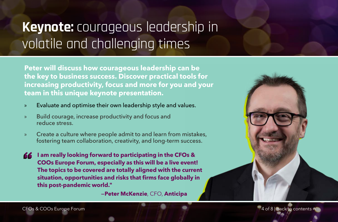### <span id="page-3-0"></span>**Keynote:** courageous leadership in volatile and challenging times

**Peter will discuss how courageous leadership can be the key to business success. Discover practical tools for increasing productivity, focus and more for you and your team in this unique keynote presentation.**

- » Evaluate and optimise their own leadership style and values.
- » Build courage, increase productivity and focus and reduce stress.
- » Create a culture where people admit to and learn from mistakes, fostering team collaboration, creativity, and long-term success.

**I am really looking forward to participating in the CFOs &**  77 **COOs Europe Forum, especially as this will be a live event! The topics to be covered are totally aligned with the current situation, opportunities and risks that firms face globally in this post-pandemic world."**

-Peter McKenzie, CFO, Anticipa

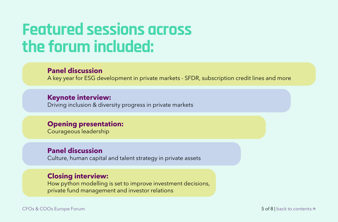# <span id="page-4-0"></span>**Featured sessions across the forum included:**

#### **Panel discussion**

A key year for ESG development in private markets - SFDR, subscription credit lines and more

#### **Keynote interview:**

Driving inclusion & diversity progress in private markets

#### **Opening presentation:**

Courageous leadership

#### **Panel discussion**

Culture, human capital and talent strategy in private assets

#### **Closing interview:**

How python modelling is set to improve investment decisions, private fund management and investor relations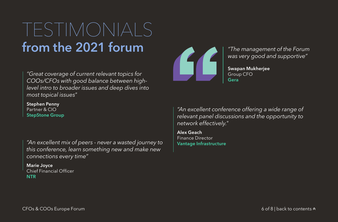# <span id="page-5-0"></span>TESTIMONIALS from the 2021 forum

*"Great coverage of current relevant topics for COOs/CFOs with good balance between highlevel intro to broader issues and deep dives into most topical issues"*

Stephen Penny Partner & CIO StepStone Group

*"An excellent mix of peers - never a wasted journey to* Vantage Infrastructure *this conference, learn something new and make new connections every time"*

Marie Joyce Chief Financial Officer **NTR** 



*"The management of the Forum was very good and supportive"*

Swapan Mukherjee Group CFO Gera

*"An excellent conference offering a wide range of relevant panel discussions and the opportunity to network effectively."*

Alex Geach Finance Director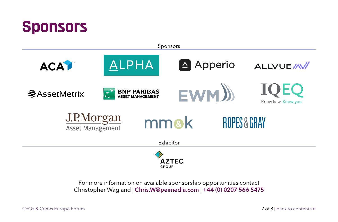<span id="page-6-0"></span>

For more information on available sponsorship opportunities contact Christopher Wagland | [Chris.W@peimedia.com](mailto:Chris.W%40peimedia.com?subject=) | +44 (0) 0207 566 5475